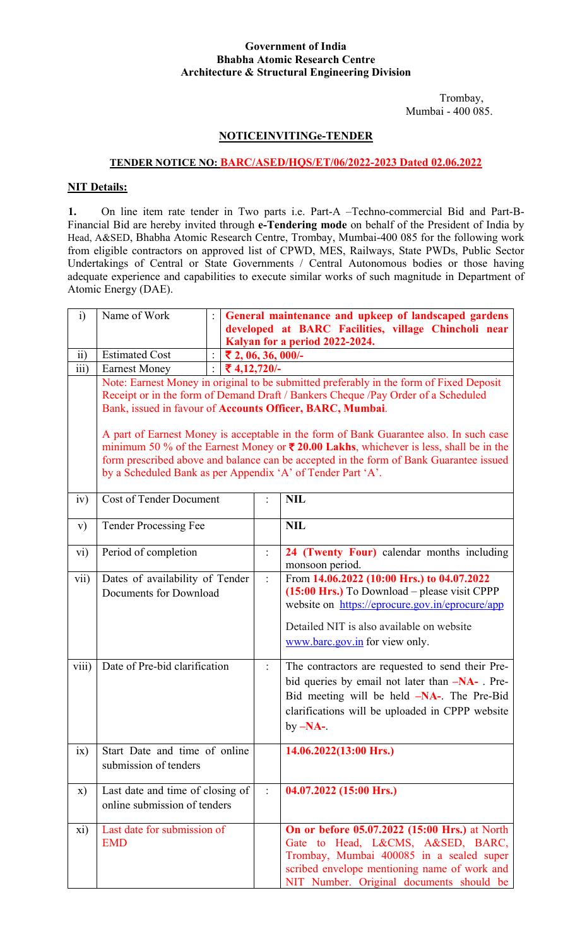#### **Government of India Bhabha Atomic Research Centre Architecture & Structural Engineering Division**

 Trombay, Mumbai - 400 085.

# **NOTICEINVITINGe-TENDER**

## **TENDER NOTICE NO: BARC/ASED/HQS/ET/06/2022-2023 Dated 02.06.2022**

## **NIT Details:**

**1.** On line item rate tender in Two parts i.e. Part-A –Techno-commercial Bid and Part-B-Financial Bid are hereby invited through **e-Tendering mode** on behalf of the President of India by Head, A&SED, Bhabha Atomic Research Centre, Trombay, Mumbai-400 085 for the following work from eligible contractors on approved list of CPWD, MES, Railways, State PWDs, Public Sector Undertakings of Central or State Governments / Central Autonomous bodies or those having adequate experience and capabilities to execute similar works of such magnitude in Department of Atomic Energy (DAE).

| i)               | Name of Work                                                                                                                                                                                                                                                                                                                                                                                                                                                                                                                                                                                                 |                                | General maintenance and upkeep of landscaped gardens<br>developed at BARC Facilities, village Chincholi near<br>Kalyan for a period 2022-2024. |                                                                                                                                                                                                                                |  |
|------------------|--------------------------------------------------------------------------------------------------------------------------------------------------------------------------------------------------------------------------------------------------------------------------------------------------------------------------------------------------------------------------------------------------------------------------------------------------------------------------------------------------------------------------------------------------------------------------------------------------------------|--------------------------------|------------------------------------------------------------------------------------------------------------------------------------------------|--------------------------------------------------------------------------------------------------------------------------------------------------------------------------------------------------------------------------------|--|
| $\overline{ii}$  | <b>Estimated Cost</b>                                                                                                                                                                                                                                                                                                                                                                                                                                                                                                                                                                                        |                                | ₹ 2, 06, 36, 000/-                                                                                                                             |                                                                                                                                                                                                                                |  |
| $\overline{iii}$ | <b>Earnest Money</b>                                                                                                                                                                                                                                                                                                                                                                                                                                                                                                                                                                                         | $\ddot{\cdot}$<br>₹ 4,12,720/- |                                                                                                                                                |                                                                                                                                                                                                                                |  |
|                  | Note: Earnest Money in original to be submitted preferably in the form of Fixed Deposit<br>Receipt or in the form of Demand Draft / Bankers Cheque /Pay Order of a Scheduled<br>Bank, issued in favour of Accounts Officer, BARC, Mumbai.<br>A part of Earnest Money is acceptable in the form of Bank Guarantee also. In such case<br>minimum 50 % of the Earnest Money or $\overline{\mathbf{z}}$ 20.00 Lakhs, whichever is less, shall be in the<br>form prescribed above and balance can be accepted in the form of Bank Guarantee issued<br>by a Scheduled Bank as per Appendix 'A' of Tender Part 'A'. |                                |                                                                                                                                                |                                                                                                                                                                                                                                |  |
| iv)              | <b>Cost of Tender Document</b>                                                                                                                                                                                                                                                                                                                                                                                                                                                                                                                                                                               |                                |                                                                                                                                                | <b>NIL</b>                                                                                                                                                                                                                     |  |
| V)               | <b>Tender Processing Fee</b>                                                                                                                                                                                                                                                                                                                                                                                                                                                                                                                                                                                 |                                |                                                                                                                                                | <b>NIL</b>                                                                                                                                                                                                                     |  |
| vi)              | Period of completion                                                                                                                                                                                                                                                                                                                                                                                                                                                                                                                                                                                         |                                | $\ddot{\cdot}$                                                                                                                                 | 24 (Twenty Four) calendar months including<br>monsoon period.                                                                                                                                                                  |  |
| vii)             | Dates of availability of Tender<br>Documents for Download                                                                                                                                                                                                                                                                                                                                                                                                                                                                                                                                                    |                                |                                                                                                                                                | From 14.06.2022 (10:00 Hrs.) to 04.07.2022<br>$(15:00$ Hrs.) To Download – please visit CPPP<br>website on https://eprocure.gov.in/eprocure/app<br>Detailed NIT is also available on website<br>www.barc.gov.in for view only. |  |
| viii)            | Date of Pre-bid clarification                                                                                                                                                                                                                                                                                                                                                                                                                                                                                                                                                                                |                                |                                                                                                                                                | The contractors are requested to send their Pre-<br>bid queries by email not later than -NA- Pre-<br>Bid meeting will be held -NA-. The Pre-Bid<br>clarifications will be uploaded in CPPP website<br>by $-NA$ -.              |  |
| ix)              | Start Date and time of online<br>submission of tenders                                                                                                                                                                                                                                                                                                                                                                                                                                                                                                                                                       |                                |                                                                                                                                                | 14.06.2022(13:00 Hrs.)                                                                                                                                                                                                         |  |
| X)               | Last date and time of closing of<br>online submission of tenders                                                                                                                                                                                                                                                                                                                                                                                                                                                                                                                                             |                                | $\ddot{\cdot}$                                                                                                                                 | 04.07.2022 (15:00 Hrs.)                                                                                                                                                                                                        |  |
| xi)              | Last date for submission of<br><b>EMD</b>                                                                                                                                                                                                                                                                                                                                                                                                                                                                                                                                                                    |                                |                                                                                                                                                | On or before 05.07.2022 (15:00 Hrs.) at North<br>Gate to Head, L&CMS, A&SED, BARC,<br>Trombay, Mumbai 400085 in a sealed super<br>scribed envelope mentioning name of work and<br>NIT Number. Original documents should be     |  |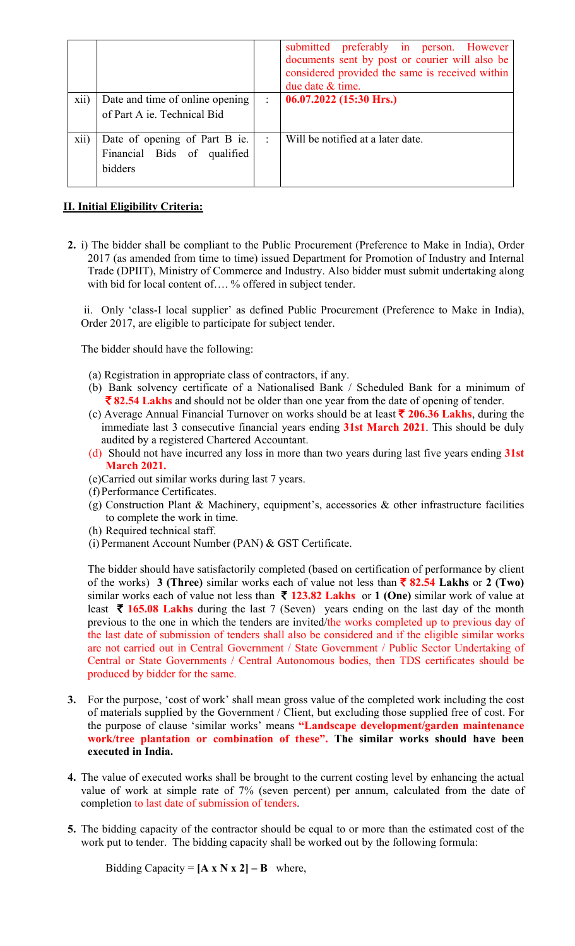|      |                                                                         |   | submitted preferably in person. However<br>documents sent by post or courier will also be<br>considered provided the same is received within<br>due date & time. |
|------|-------------------------------------------------------------------------|---|------------------------------------------------------------------------------------------------------------------------------------------------------------------|
| xii) | Date and time of online opening<br>of Part A ie. Technical Bid          | ÷ | $06.07.2022$ (15:30 Hrs.)                                                                                                                                        |
| xii) | Date of opening of Part B ie.<br>Financial Bids of qualified<br>bidders | ÷ | Will be notified at a later date.                                                                                                                                |

# **II. Initial Eligibility Criteria:**

**2.** i) The bidder shall be compliant to the Public Procurement (Preference to Make in India), Order 2017 (as amended from time to time) issued Department for Promotion of Industry and Internal Trade (DPIIT), Ministry of Commerce and Industry. Also bidder must submit undertaking along with bid for local content of.... % offered in subject tender.

 ii. Only 'class-I local supplier' as defined Public Procurement (Preference to Make in India), Order 2017, are eligible to participate for subject tender.

The bidder should have the following:

- (a) Registration in appropriate class of contractors, if any.
- (b) Bank solvency certificate of a Nationalised Bank / Scheduled Bank for a minimum of ` **82.54 Lakhs** and should not be older than one year from the date of opening of tender.
- (c) Average Annual Financial Turnover on works should be at least  $\bar{\tau}$  206.36 Lakhs, during the immediate last 3 consecutive financial years ending **31st March 2021**. This should be duly audited by a registered Chartered Accountant.
- (d) Should not have incurred any loss in more than two years during last five years ending **31st March 2021.**
- (e)Carried out similar works during last 7 years.
- (f)Performance Certificates.
- (g) Construction Plant & Machinery, equipment's, accessories & other infrastructure facilities to complete the work in time.
- (h) Required technical staff.
- (i) Permanent Account Number (PAN) & GST Certificate.

The bidder should have satisfactorily completed (based on certification of performance by client of the works) **3 (Three)** similar works each of value not less than ` **82.54 Lakhs** or **2 (Two)**  similar works each of value not less than  $\bar{\tau}$  123.82 **Lakhs** or 1 (One) similar work of value at least  $\bar{\tau}$  165.08 Lakhs during the last 7 (Seven) years ending on the last day of the month previous to the one in which the tenders are invited/the works completed up to previous day of the last date of submission of tenders shall also be considered and if the eligible similar works are not carried out in Central Government / State Government / Public Sector Undertaking of Central or State Governments / Central Autonomous bodies, then TDS certificates should be produced by bidder for the same.

- **3.** For the purpose, 'cost of work' shall mean gross value of the completed work including the cost of materials supplied by the Government / Client, but excluding those supplied free of cost. For the purpose of clause 'similar works' means **"Landscape development/garden maintenance work/tree plantation or combination of these". The similar works should have been executed in India.**
- **4.** The value of executed works shall be brought to the current costing level by enhancing the actual value of work at simple rate of 7% (seven percent) per annum, calculated from the date of completion to last date of submission of tenders.
- **5.** The bidding capacity of the contractor should be equal to or more than the estimated cost of the work put to tender. The bidding capacity shall be worked out by the following formula:

Bidding Capacity =  $[A \times N \times 2] - B$  where,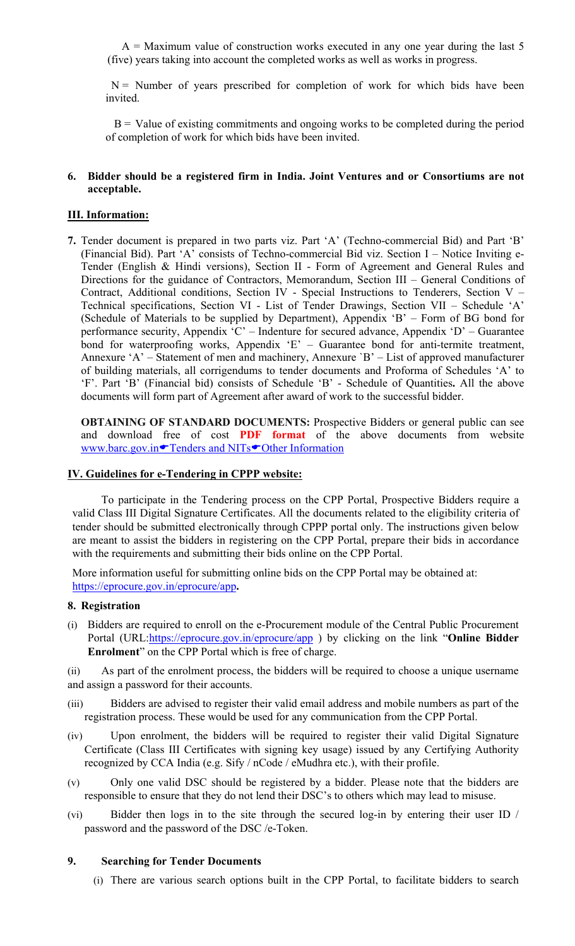$A =$  Maximum value of construction works executed in any one year during the last 5 (five) years taking into account the completed works as well as works in progress.

 $N =$  Number of years prescribed for completion of work for which bids have been invited.

 $B =$  Value of existing commitments and ongoing works to be completed during the period of completion of work for which bids have been invited.

#### **6. Bidder should be a registered firm in India. Joint Ventures and or Consortiums are not acceptable.**

## **III. Information:**

**7.** Tender document is prepared in two parts viz. Part 'A' (Techno-commercial Bid) and Part 'B' (Financial Bid). Part 'A' consists of Techno-commercial Bid viz. Section I – Notice Inviting e-Tender (English & Hindi versions), Section II - Form of Agreement and General Rules and Directions for the guidance of Contractors, Memorandum, Section III – General Conditions of Contract, Additional conditions, Section IV - Special Instructions to Tenderers, Section V – Technical specifications, Section VI - List of Tender Drawings, Section VII – Schedule 'A' (Schedule of Materials to be supplied by Department), Appendix 'B' – Form of BG bond for performance security, Appendix 'C' – Indenture for secured advance, Appendix 'D' – Guarantee bond for waterproofing works, Appendix 'E' – Guarantee bond for anti-termite treatment, Annexure 'A' – Statement of men and machinery, Annexure `B' – List of approved manufacturer of building materials, all corrigendums to tender documents and Proforma of Schedules 'A' to 'F'. Part 'B' (Financial bid) consists of Schedule 'B' - Schedule of Quantities**.** All the above documents will form part of Agreement after award of work to the successful bidder.

**OBTAINING OF STANDARD DOCUMENTS:** Prospective Bidders or general public can see and download free of cost **PDF format** of the above documents from website www.barc.gov.in<sup>T</sup>enders and NITs<sup>T</sup>Other Information

### **IV. Guidelines for e-Tendering in CPPP website:**

To participate in the Tendering process on the CPP Portal, Prospective Bidders require a valid Class III Digital Signature Certificates. All the documents related to the eligibility criteria of tender should be submitted electronically through CPPP portal only. The instructions given below are meant to assist the bidders in registering on the CPP Portal, prepare their bids in accordance with the requirements and submitting their bids online on the CPP Portal.

More information useful for submitting online bids on the CPP Portal may be obtained at: https://eprocure.gov.in/eprocure/app**.** 

#### **8. Registration**

(i) Bidders are required to enroll on the e-Procurement module of the Central Public Procurement Portal (URL:*https://eprocure.gov.in/eprocure/app* ) by clicking on the link "Online Bidder **Enrolment**" on the CPP Portal which is free of charge.

(ii) As part of the enrolment process, the bidders will be required to choose a unique username and assign a password for their accounts.

- (iii) Bidders are advised to register their valid email address and mobile numbers as part of the registration process. These would be used for any communication from the CPP Portal.
- (iv) Upon enrolment, the bidders will be required to register their valid Digital Signature Certificate (Class III Certificates with signing key usage) issued by any Certifying Authority recognized by CCA India (e.g. Sify / nCode / eMudhra etc.), with their profile.
- (v) Only one valid DSC should be registered by a bidder. Please note that the bidders are responsible to ensure that they do not lend their DSC's to others which may lead to misuse.
- (vi) Bidder then logs in to the site through the secured log-in by entering their user ID / password and the password of the DSC /e-Token.

#### **9. Searching for Tender Documents**

(i) There are various search options built in the CPP Portal, to facilitate bidders to search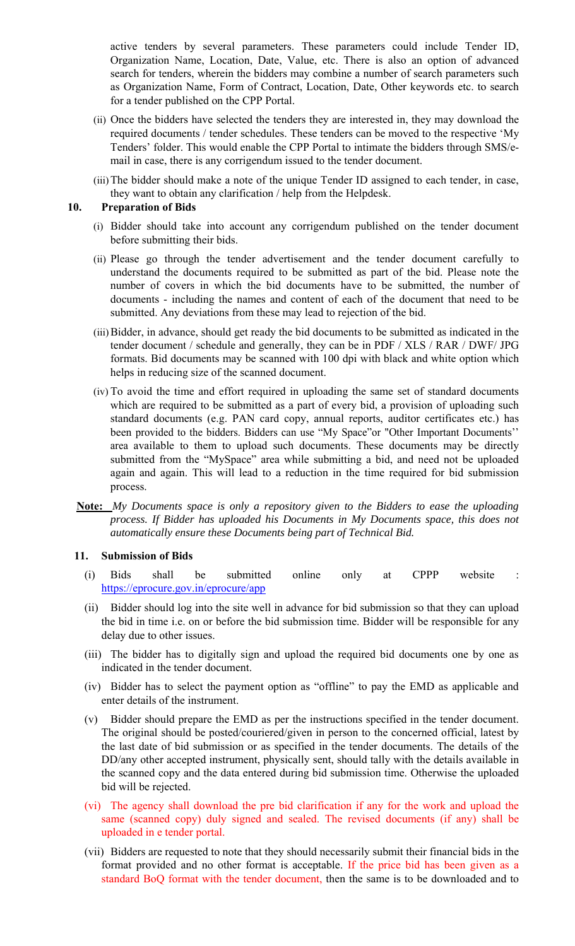active tenders by several parameters. These parameters could include Tender ID, Organization Name, Location, Date, Value, etc. There is also an option of advanced search for tenders, wherein the bidders may combine a number of search parameters such as Organization Name, Form of Contract, Location, Date, Other keywords etc. to search for a tender published on the CPP Portal.

- (ii) Once the bidders have selected the tenders they are interested in, they may download the required documents / tender schedules. These tenders can be moved to the respective 'My Tenders' folder. This would enable the CPP Portal to intimate the bidders through SMS/email in case, there is any corrigendum issued to the tender document.
- (iii)The bidder should make a note of the unique Tender ID assigned to each tender, in case, they want to obtain any clarification / help from the Helpdesk.

### **10. Preparation of Bids**

- (i) Bidder should take into account any corrigendum published on the tender document before submitting their bids.
- (ii) Please go through the tender advertisement and the tender document carefully to understand the documents required to be submitted as part of the bid. Please note the number of covers in which the bid documents have to be submitted, the number of documents - including the names and content of each of the document that need to be submitted. Any deviations from these may lead to rejection of the bid.
- (iii)Bidder, in advance, should get ready the bid documents to be submitted as indicated in the tender document / schedule and generally, they can be in PDF / XLS / RAR / DWF/ JPG formats. Bid documents may be scanned with 100 dpi with black and white option which helps in reducing size of the scanned document.
- (iv) To avoid the time and effort required in uploading the same set of standard documents which are required to be submitted as a part of every bid, a provision of uploading such standard documents (e.g. PAN card copy, annual reports, auditor certificates etc.) has been provided to the bidders. Bidders can use "My Space"or "Other Important Documents'' area available to them to upload such documents. These documents may be directly submitted from the "MySpace" area while submitting a bid, and need not be uploaded again and again. This will lead to a reduction in the time required for bid submission process.
- **Note:** *My Documents space is only a repository given to the Bidders to ease the uploading process. If Bidder has uploaded his Documents in My Documents space, this does not automatically ensure these Documents being part of Technical Bid.*

#### **11. Submission of Bids**

- (i) Bids shall be submitted online only at CPPP website : https://eprocure.gov.in/eprocure/app
- (ii) Bidder should log into the site well in advance for bid submission so that they can upload the bid in time i.e. on or before the bid submission time. Bidder will be responsible for any delay due to other issues.
- (iii) The bidder has to digitally sign and upload the required bid documents one by one as indicated in the tender document.
- (iv) Bidder has to select the payment option as "offline" to pay the EMD as applicable and enter details of the instrument.
- (v) Bidder should prepare the EMD as per the instructions specified in the tender document. The original should be posted/couriered/given in person to the concerned official, latest by the last date of bid submission or as specified in the tender documents. The details of the DD/any other accepted instrument, physically sent, should tally with the details available in the scanned copy and the data entered during bid submission time. Otherwise the uploaded bid will be rejected.
- (vi) The agency shall download the pre bid clarification if any for the work and upload the same (scanned copy) duly signed and sealed. The revised documents (if any) shall be uploaded in e tender portal.
- (vii) Bidders are requested to note that they should necessarily submit their financial bids in the format provided and no other format is acceptable. If the price bid has been given as a standard BoQ format with the tender document, then the same is to be downloaded and to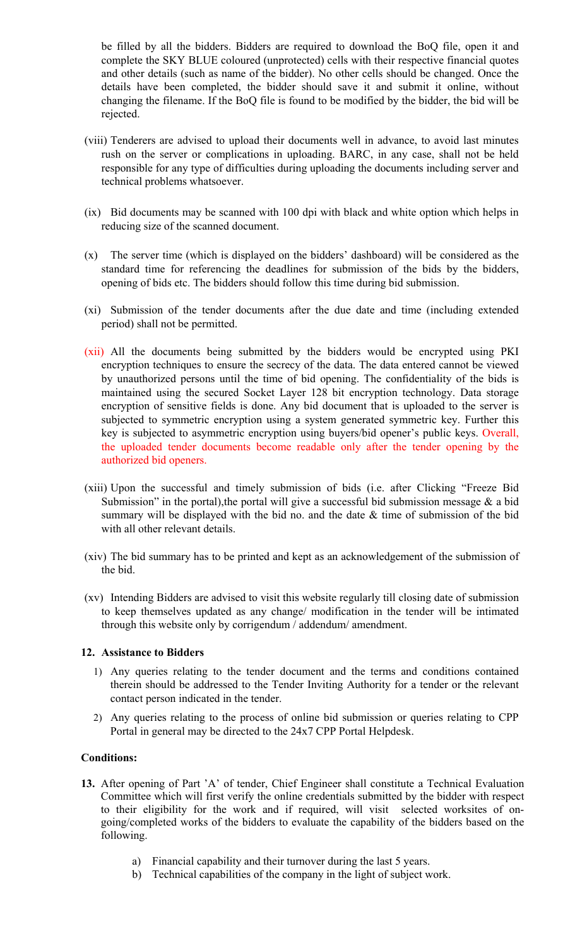be filled by all the bidders. Bidders are required to download the BoQ file, open it and complete the SKY BLUE coloured (unprotected) cells with their respective financial quotes and other details (such as name of the bidder). No other cells should be changed. Once the details have been completed, the bidder should save it and submit it online, without changing the filename. If the BoQ file is found to be modified by the bidder, the bid will be rejected.

- (viii) Tenderers are advised to upload their documents well in advance, to avoid last minutes rush on the server or complications in uploading. BARC, in any case, shall not be held responsible for any type of difficulties during uploading the documents including server and technical problems whatsoever.
- (ix) Bid documents may be scanned with 100 dpi with black and white option which helps in reducing size of the scanned document.
- (x) The server time (which is displayed on the bidders' dashboard) will be considered as the standard time for referencing the deadlines for submission of the bids by the bidders, opening of bids etc. The bidders should follow this time during bid submission.
- (xi) Submission of the tender documents after the due date and time (including extended period) shall not be permitted.
- (xii) All the documents being submitted by the bidders would be encrypted using PKI encryption techniques to ensure the secrecy of the data. The data entered cannot be viewed by unauthorized persons until the time of bid opening. The confidentiality of the bids is maintained using the secured Socket Layer 128 bit encryption technology. Data storage encryption of sensitive fields is done. Any bid document that is uploaded to the server is subjected to symmetric encryption using a system generated symmetric key. Further this key is subjected to asymmetric encryption using buyers/bid opener's public keys. Overall, the uploaded tender documents become readable only after the tender opening by the authorized bid openers.
- (xiii) Upon the successful and timely submission of bids (i.e. after Clicking "Freeze Bid Submission" in the portal), the portal will give a successful bid submission message  $\&$  a bid summary will be displayed with the bid no. and the date  $\&$  time of submission of the bid with all other relevant details.
- (xiv) The bid summary has to be printed and kept as an acknowledgement of the submission of the bid.
- (xv) Intending Bidders are advised to visit this website regularly till closing date of submission to keep themselves updated as any change/ modification in the tender will be intimated through this website only by corrigendum / addendum/ amendment.

## **12. Assistance to Bidders**

- 1) Any queries relating to the tender document and the terms and conditions contained therein should be addressed to the Tender Inviting Authority for a tender or the relevant contact person indicated in the tender.
- 2) Any queries relating to the process of online bid submission or queries relating to CPP Portal in general may be directed to the 24x7 CPP Portal Helpdesk.

## **Conditions:**

- **13.** After opening of Part 'A' of tender, Chief Engineer shall constitute a Technical Evaluation Committee which will first verify the online credentials submitted by the bidder with respect to their eligibility for the work and if required, will visit selected worksites of ongoing/completed works of the bidders to evaluate the capability of the bidders based on the following.
	- a) Financial capability and their turnover during the last 5 years.
	- b) Technical capabilities of the company in the light of subject work.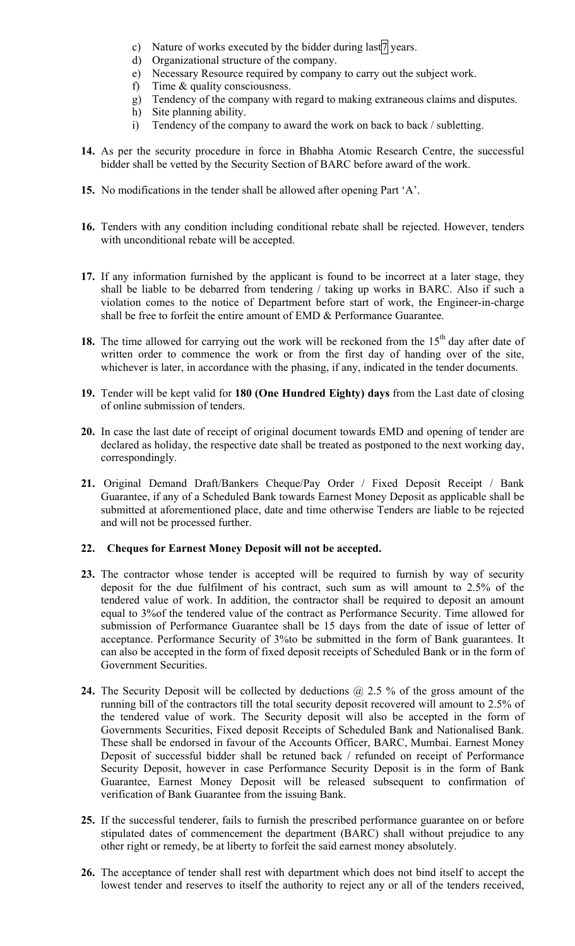- c) Nature of works executed by the bidder during last  $7$  years.
- d) Organizational structure of the company.
- e) Necessary Resource required by company to carry out the subject work.
- f) Time & quality consciousness.
- g) Tendency of the company with regard to making extraneous claims and disputes.
- h) Site planning ability.
- i) Tendency of the company to award the work on back to back / subletting.
- **14.** As per the security procedure in force in Bhabha Atomic Research Centre, the successful bidder shall be vetted by the Security Section of BARC before award of the work.
- **15.** No modifications in the tender shall be allowed after opening Part 'A'.
- **16.** Tenders with any condition including conditional rebate shall be rejected. However, tenders with unconditional rebate will be accepted.
- **17.** If any information furnished by the applicant is found to be incorrect at a later stage, they shall be liable to be debarred from tendering / taking up works in BARC. Also if such a violation comes to the notice of Department before start of work, the Engineer-in-charge shall be free to forfeit the entire amount of EMD & Performance Guarantee.
- **18.** The time allowed for carrying out the work will be reckoned from the  $15<sup>th</sup>$  day after date of written order to commence the work or from the first day of handing over of the site, whichever is later, in accordance with the phasing, if any, indicated in the tender documents.
- **19.** Tender will be kept valid for **180 (One Hundred Eighty) days** from the Last date of closing of online submission of tenders.
- **20.** In case the last date of receipt of original document towards EMD and opening of tender are declared as holiday, the respective date shall be treated as postponed to the next working day, correspondingly.
- **21.** Original Demand Draft/Bankers Cheque/Pay Order / Fixed Deposit Receipt / Bank Guarantee, if any of a Scheduled Bank towards Earnest Money Deposit as applicable shall be submitted at aforementioned place, date and time otherwise Tenders are liable to be rejected and will not be processed further.

# **22. Cheques for Earnest Money Deposit will not be accepted.**

- **23.** The contractor whose tender is accepted will be required to furnish by way of security deposit for the due fulfilment of his contract, such sum as will amount to 2.5% of the tendered value of work. In addition, the contractor shall be required to deposit an amount equal to 3%of the tendered value of the contract as Performance Security. Time allowed for submission of Performance Guarantee shall be 15 days from the date of issue of letter of acceptance. Performance Security of 3%to be submitted in the form of Bank guarantees. It can also be accepted in the form of fixed deposit receipts of Scheduled Bank or in the form of Government Securities.
- 24. The Security Deposit will be collected by deductions @ 2.5 % of the gross amount of the running bill of the contractors till the total security deposit recovered will amount to 2.5% of the tendered value of work. The Security deposit will also be accepted in the form of Governments Securities, Fixed deposit Receipts of Scheduled Bank and Nationalised Bank. These shall be endorsed in favour of the Accounts Officer, BARC, Mumbai. Earnest Money Deposit of successful bidder shall be retuned back / refunded on receipt of Performance Security Deposit, however in case Performance Security Deposit is in the form of Bank Guarantee, Earnest Money Deposit will be released subsequent to confirmation of verification of Bank Guarantee from the issuing Bank.
- **25.** If the successful tenderer, fails to furnish the prescribed performance guarantee on or before stipulated dates of commencement the department (BARC) shall without prejudice to any other right or remedy, be at liberty to forfeit the said earnest money absolutely.
- **26.** The acceptance of tender shall rest with department which does not bind itself to accept the lowest tender and reserves to itself the authority to reject any or all of the tenders received,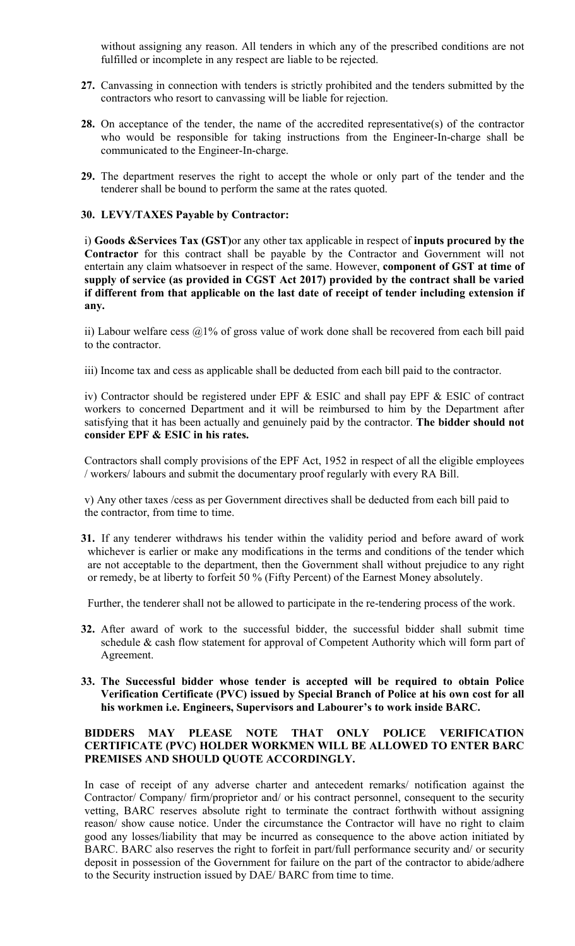without assigning any reason. All tenders in which any of the prescribed conditions are not fulfilled or incomplete in any respect are liable to be rejected.

- **27.** Canvassing in connection with tenders is strictly prohibited and the tenders submitted by the contractors who resort to canvassing will be liable for rejection.
- **28.** On acceptance of the tender, the name of the accredited representative(s) of the contractor who would be responsible for taking instructions from the Engineer-In-charge shall be communicated to the Engineer-In-charge.
- **29.** The department reserves the right to accept the whole or only part of the tender and the tenderer shall be bound to perform the same at the rates quoted.

## **30. LEVY/TAXES Payable by Contractor:**

i) **Goods &Services Tax (GST)**or any other tax applicable in respect of **inputs procured by the Contractor** for this contract shall be payable by the Contractor and Government will not entertain any claim whatsoever in respect of the same. However, **component of GST at time of supply of service (as provided in CGST Act 2017) provided by the contract shall be varied if different from that applicable on the last date of receipt of tender including extension if any.** 

ii) Labour welfare cess  $\omega$ 1% of gross value of work done shall be recovered from each bill paid to the contractor.

iii) Income tax and cess as applicable shall be deducted from each bill paid to the contractor.

iv) Contractor should be registered under EPF & ESIC and shall pay EPF & ESIC of contract workers to concerned Department and it will be reimbursed to him by the Department after satisfying that it has been actually and genuinely paid by the contractor. **The bidder should not consider EPF & ESIC in his rates.** 

Contractors shall comply provisions of the EPF Act, 1952 in respect of all the eligible employees / workers/ labours and submit the documentary proof regularly with every RA Bill.

v) Any other taxes /cess as per Government directives shall be deducted from each bill paid to the contractor, from time to time.

**31.** If any tenderer withdraws his tender within the validity period and before award of work whichever is earlier or make any modifications in the terms and conditions of the tender which are not acceptable to the department, then the Government shall without prejudice to any right or remedy, be at liberty to forfeit 50 % (Fifty Percent) of the Earnest Money absolutely.

Further, the tenderer shall not be allowed to participate in the re-tendering process of the work.

- **32.** After award of work to the successful bidder, the successful bidder shall submit time schedule & cash flow statement for approval of Competent Authority which will form part of Agreement.
- **33. The Successful bidder whose tender is accepted will be required to obtain Police Verification Certificate (PVC) issued by Special Branch of Police at his own cost for all his workmen i.e. Engineers, Supervisors and Labourer's to work inside BARC.**

## **BIDDERS MAY PLEASE NOTE THAT ONLY POLICE VERIFICATION CERTIFICATE (PVC) HOLDER WORKMEN WILL BE ALLOWED TO ENTER BARC PREMISES AND SHOULD QUOTE ACCORDINGLY.**

In case of receipt of any adverse charter and antecedent remarks/ notification against the Contractor/ Company/ firm/proprietor and/ or his contract personnel, consequent to the security vetting, BARC reserves absolute right to terminate the contract forthwith without assigning reason/ show cause notice. Under the circumstance the Contractor will have no right to claim good any losses/liability that may be incurred as consequence to the above action initiated by BARC. BARC also reserves the right to forfeit in part/full performance security and/ or security deposit in possession of the Government for failure on the part of the contractor to abide/adhere to the Security instruction issued by DAE/ BARC from time to time.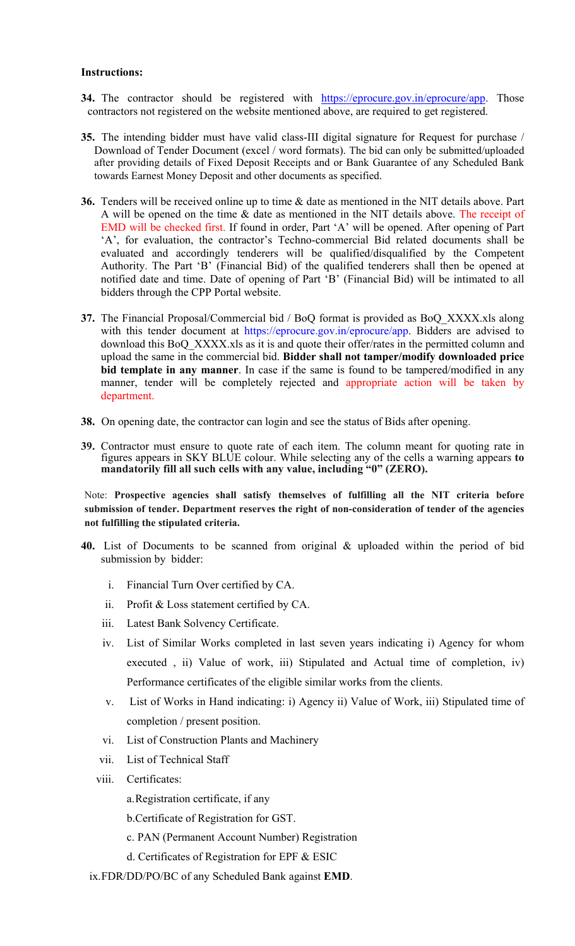#### **Instructions:**

- **34.** The contractor should be registered with https://eprocure.gov.in/eprocure/app. Those contractors not registered on the website mentioned above, are required to get registered.
- **35.** The intending bidder must have valid class-III digital signature for Request for purchase / Download of Tender Document (excel / word formats). The bid can only be submitted/uploaded after providing details of Fixed Deposit Receipts and or Bank Guarantee of any Scheduled Bank towards Earnest Money Deposit and other documents as specified.
- **36.** Tenders will be received online up to time & date as mentioned in the NIT details above. Part A will be opened on the time & date as mentioned in the NIT details above. The receipt of EMD will be checked first. If found in order, Part 'A' will be opened. After opening of Part 'A', for evaluation, the contractor's Techno-commercial Bid related documents shall be evaluated and accordingly tenderers will be qualified/disqualified by the Competent Authority. The Part 'B' (Financial Bid) of the qualified tenderers shall then be opened at notified date and time. Date of opening of Part 'B' (Financial Bid) will be intimated to all bidders through the CPP Portal website.
- **37.** The Financial Proposal/Commercial bid / BoQ format is provided as BoQ\_XXXX.xls along with this tender document at https://eprocure.gov.in/eprocure/app. Bidders are advised to download this BoQ\_XXXX.xls as it is and quote their offer/rates in the permitted column and upload the same in the commercial bid. **Bidder shall not tamper/modify downloaded price bid template in any manner**. In case if the same is found to be tampered/modified in any manner, tender will be completely rejected and appropriate action will be taken by department.
- **38.** On opening date, the contractor can login and see the status of Bids after opening.
- **39.** Contractor must ensure to quote rate of each item. The column meant for quoting rate in figures appears in SKY BLUE colour. While selecting any of the cells a warning appears **to mandatorily fill all such cells with any value, including "0" (ZERO).**

Note: **Prospective agencies shall satisfy themselves of fulfilling all the NIT criteria before submission of tender. Department reserves the right of non-consideration of tender of the agencies not fulfilling the stipulated criteria.** 

- **40.** List of Documents to be scanned from original & uploaded within the period of bid submission by bidder:
	- i. Financial Turn Over certified by CA.
	- ii. Profit & Loss statement certified by CA.
	- iii. Latest Bank Solvency Certificate.
	- iv. List of Similar Works completed in last seven years indicating i) Agency for whom executed , ii) Value of work, iii) Stipulated and Actual time of completion, iv) Performance certificates of the eligible similar works from the clients.
	- v. List of Works in Hand indicating: i) Agency ii) Value of Work, iii) Stipulated time of completion / present position.
	- vi. List of Construction Plants and Machinery
	- vii. List of Technical Staff
	- viii. Certificates:
		- a.Registration certificate, if any
		- b.Certificate of Registration for GST.
		- c. PAN (Permanent Account Number) Registration
		- d. Certificates of Registration for EPF & ESIC
	- ix.FDR/DD/PO/BC of any Scheduled Bank against **EMD**.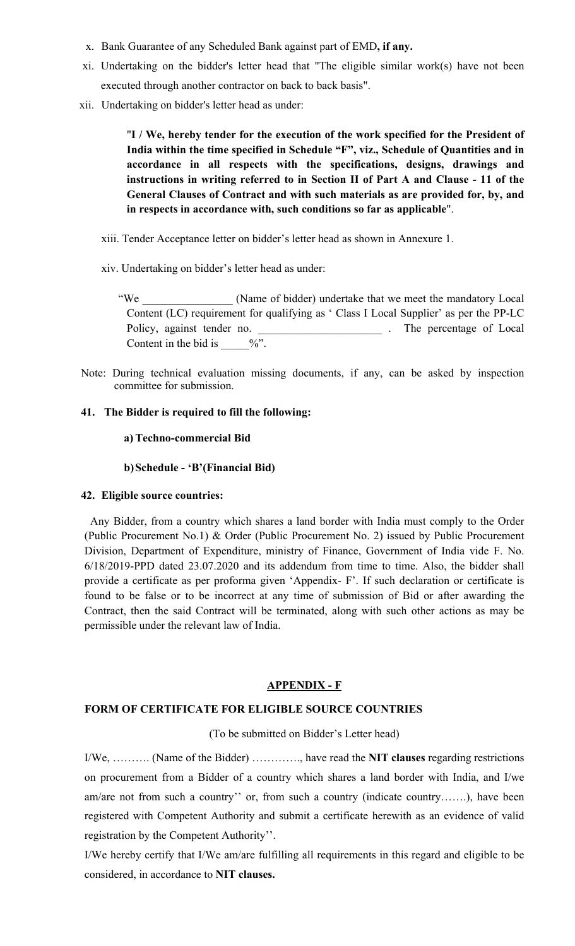- x. Bank Guarantee of any Scheduled Bank against part of EMD**, if any.**
- xi. Undertaking on the bidder's letter head that "The eligible similar work(s) have not been executed through another contractor on back to back basis".
- xii. Undertaking on bidder's letter head as under:

"**I / We, hereby tender for the execution of the work specified for the President of India within the time specified in Schedule "F", viz., Schedule of Quantities and in accordance in all respects with the specifications, designs, drawings and instructions in writing referred to in Section II of Part A and Clause - 11 of the General Clauses of Contract and with such materials as are provided for, by, and in respects in accordance with, such conditions so far as applicable**".

- xiii. Tender Acceptance letter on bidder's letter head as shown in Annexure 1.
- xiv. Undertaking on bidder's letter head as under:

"We Chame of bidder) undertake that we meet the mandatory Local Content (LC) requirement for qualifying as ' Class I Local Supplier' as per the PP-LC Policy, against tender no. \_\_\_\_\_\_\_\_\_\_\_\_\_\_\_\_\_\_\_\_\_\_ . The percentage of Local Content in the bid is  $\frac{9}{6}$ .

Note: During technical evaluation missing documents, if any, can be asked by inspection committee for submission.

## **41. The Bidder is required to fill the following:**

#### **a) Techno-commercial Bid**

**b)Schedule - 'B'(Financial Bid)** 

#### **42. Eligible source countries:**

Any Bidder, from a country which shares a land border with India must comply to the Order (Public Procurement No.1) & Order (Public Procurement No. 2) issued by Public Procurement Division, Department of Expenditure, ministry of Finance, Government of India vide F. No. 6/18/2019-PPD dated 23.07.2020 and its addendum from time to time. Also, the bidder shall provide a certificate as per proforma given 'Appendix- F'. If such declaration or certificate is found to be false or to be incorrect at any time of submission of Bid or after awarding the Contract, then the said Contract will be terminated, along with such other actions as may be permissible under the relevant law of India.

## **APPENDIX - F**

## **FORM OF CERTIFICATE FOR ELIGIBLE SOURCE COUNTRIES**

(To be submitted on Bidder's Letter head)

I/We, ………. (Name of the Bidder) …………., have read the **NIT clauses** regarding restrictions on procurement from a Bidder of a country which shares a land border with India, and I/we am/are not from such a country'' or, from such a country (indicate country…….), have been registered with Competent Authority and submit a certificate herewith as an evidence of valid registration by the Competent Authority''.

I/We hereby certify that I/We am/are fulfilling all requirements in this regard and eligible to be considered, in accordance to **NIT clauses.**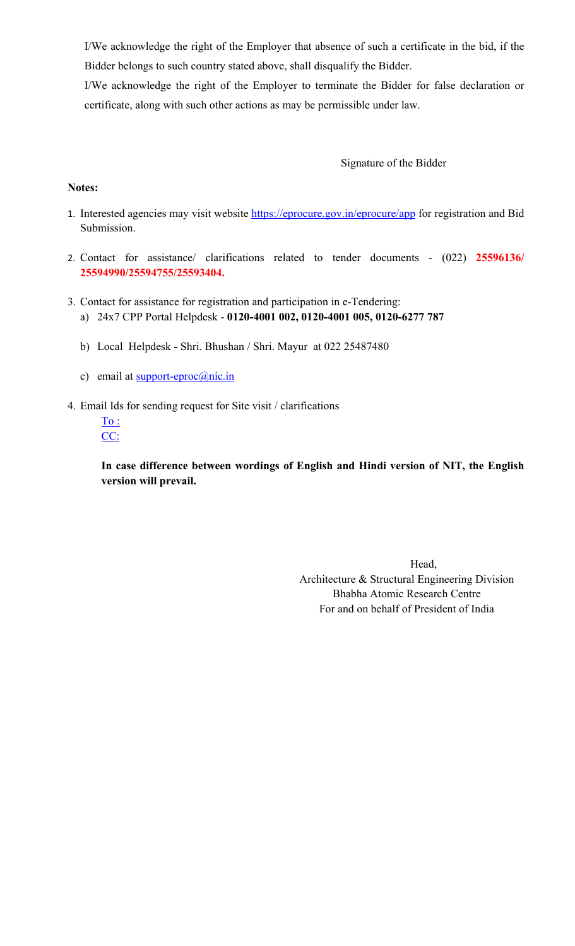I/We acknowledge the right of the Employer that absence of such a certificate in the bid, if the Bidder belongs to such country stated above, shall disqualify the Bidder.

I/We acknowledge the right of the Employer to terminate the Bidder for false declaration or certificate, along with such other actions as may be permissible under law.

# Signature of the Bidder

## **Notes:**

- 1. Interested agencies may visit website https://eprocure.gov.in/eprocure/app for registration and Bid Submission.
- 2. Contact for assistance/ clarifications related to tender documents (022) **25596136/ 25594990/25594755/25593404.**
- 3. Contact for assistance for registration and participation in e-Tendering: a) 24x7 CPP Portal Helpdesk - **0120-4001 002, 0120-4001 005, 0120-6277 787** 
	- b) Local HelpdeskShri. Bhushan / Shri. Mayur at 022 25487480
	- c) email at  $\frac{\text{support-eproc}(\hat{a})\text{nic.in}}{(\hat{a})}$
- 4. Email Ids for sending request for Site visit / clarifications
	- $\underline{\text{To :}}$ CC:

**In case difference between wordings of English and Hindi version of NIT, the English version will prevail.** 

> Head, Architecture & Structural Engineering Division Bhabha Atomic Research Centre For and on behalf of President of India